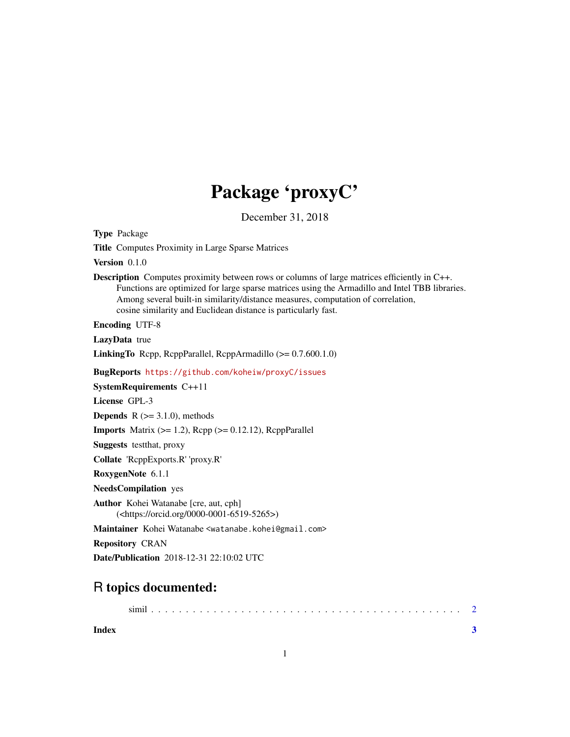## Package 'proxyC'

December 31, 2018

<span id="page-0-0"></span>

| <b>Type Package</b>                                                                                                                                                                                                                                                                                                                                         |
|-------------------------------------------------------------------------------------------------------------------------------------------------------------------------------------------------------------------------------------------------------------------------------------------------------------------------------------------------------------|
| <b>Title Computes Proximity in Large Sparse Matrices</b>                                                                                                                                                                                                                                                                                                    |
| Version $0.1.0$                                                                                                                                                                                                                                                                                                                                             |
| <b>Description</b> Computes proximity between rows or columns of large matrices efficiently in C++.<br>Functions are optimized for large sparse matrices using the Armadillo and Intel TBB libraries.<br>Among several built-in similarity/distance measures, computation of correlation,<br>cosine similarity and Euclidean distance is particularly fast. |
| <b>Encoding UTF-8</b>                                                                                                                                                                                                                                                                                                                                       |
| LazyData true                                                                                                                                                                                                                                                                                                                                               |
| <b>LinkingTo</b> Repp, ReppParallel, ReppArmadillo $(>= 0.7.600.1.0)$                                                                                                                                                                                                                                                                                       |
| BugReports https://github.com/koheiw/proxyC/issues                                                                                                                                                                                                                                                                                                          |
| <b>SystemRequirements C++11</b>                                                                                                                                                                                                                                                                                                                             |
| License GPL-3                                                                                                                                                                                                                                                                                                                                               |
| <b>Depends</b> $R$ ( $>=$ 3.1.0), methods                                                                                                                                                                                                                                                                                                                   |
| <b>Imports</b> Matrix $(>= 1.2)$ , Rcpp $(>= 0.12.12)$ , RcppParallel                                                                                                                                                                                                                                                                                       |
| <b>Suggests</b> test that, proxy                                                                                                                                                                                                                                                                                                                            |
| Collate 'ReppExports.R' 'proxy.R'                                                                                                                                                                                                                                                                                                                           |
| RoxygenNote 6.1.1                                                                                                                                                                                                                                                                                                                                           |
| <b>NeedsCompilation</b> yes                                                                                                                                                                                                                                                                                                                                 |
| Author Kohei Watanabe [cre, aut, cph]<br>( <https: 0000-0001-6519-5265="" orcid.org="">)</https:>                                                                                                                                                                                                                                                           |
| Maintainer Kohei Watanabe <watanabe.kohei@gmail.com></watanabe.kohei@gmail.com>                                                                                                                                                                                                                                                                             |
| <b>Repository CRAN</b>                                                                                                                                                                                                                                                                                                                                      |
| Date/Publication 2018-12-31 22:10:02 UTC                                                                                                                                                                                                                                                                                                                    |
|                                                                                                                                                                                                                                                                                                                                                             |

### R topics documented:

**Index** [3](#page-2-0)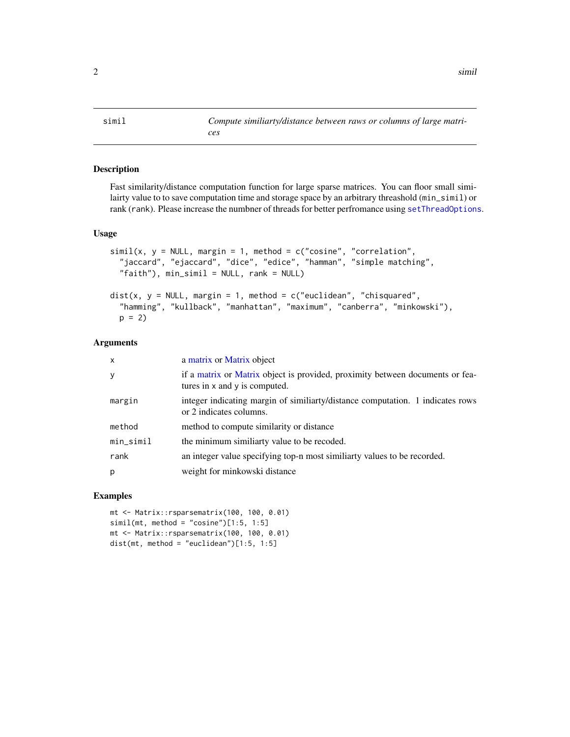<span id="page-1-0"></span>simil *Compute similiarty/distance between raws or columns of large matri-*

#### Description

Fast similarity/distance computation function for large sparse matrices. You can floor small similairty value to to save computation time and storage space by an arbitrary threashold (min\_simil) or rank (rank). Please increase the numbner of threads for better perfromance using [setThreadOptions](#page-0-0).

#### Usage

```
simil(x, y = NULL, margin = 1, method = c("cosine", "correlation","jaccard", "ejaccard", "dice", "edice", "hamman", "simple matching",
  "faith"), min_simil = NULL, rank = NULL)
dist(x, y = NULL, margin = 1, method = c("euclidean", "chisquared",
  "hamming", "kullback", "manhattan", "maximum", "canberra", "minkowski"),
 p = 2
```
#### Arguments

| x         | a matrix or Matrix object                                                                                      |
|-----------|----------------------------------------------------------------------------------------------------------------|
| У         | if a matrix or Matrix object is provided, proximity between documents or fea-<br>tures in x and y is computed. |
| margin    | integer indicating margin of similiarty/distance computation. 1 indicates rows<br>or 2 indicates columns.      |
| method    | method to compute similarity or distance                                                                       |
| min_simil | the minimum similiarty value to be recoded.                                                                    |
| rank      | an integer value specifying top-n most similiarty values to be recorded.                                       |
| p         | weight for minkowski distance                                                                                  |
|           |                                                                                                                |

#### Examples

```
mt <- Matrix::rsparsematrix(100, 100, 0.01)
simil(mt, method = "cosine")[1:5, 1:5]mt <- Matrix::rsparsematrix(100, 100, 0.01)
dist(mt, method = "euclidean")[1:5, 1:5]
```
*ces*